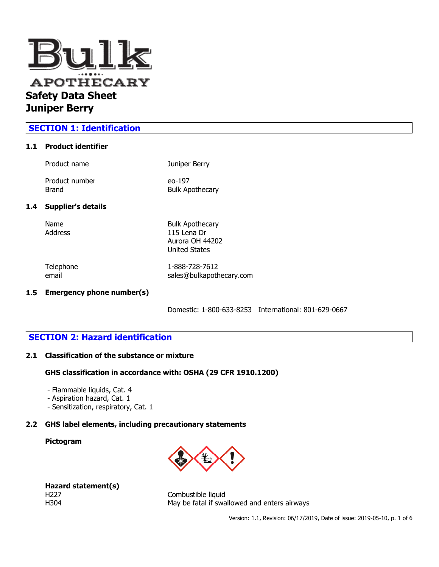

# **SECTION 1: Identification**

### **1.1 Product identifier**

| Product name              | Juniper Berry          |
|---------------------------|------------------------|
| Product number            | eo-197                 |
| Brand                     | <b>Bulk Apothecary</b> |
| <b>Supplier's details</b> |                        |
| Name                      | <b>Bulk Apothecary</b> |
| Address                   | 115 Lena Dr            |

email sales@bulkapothecary.com

 $1.4$ 

Telephone 1-888-728-7612

Aurora OH 44202 United States

## **1.5 Emergency phone number(s)**

Domestic: 1-800-633-8253 International: 801-629-0667

# **SECTION 2: Hazard identification**

#### **2.1 Classification of the substance or mixture**

#### **GHS classification in accordance with: OSHA (29 CFR 1910.1200)**

- Flammable liquids, Cat. 4
- Aspiration hazard, Cat. 1
- Sensitization, respiratory, Cat. 1

## **2.2 GHS label elements, including precautionary statements**

### **Pictogram**



|      | Hazard statement(s) |
|------|---------------------|
| H227 |                     |
| H304 |                     |

Combustible liquid May be fatal if swallowed and enters airways

Version: 1.1, Revision: 06/17/2019, Date of issue: 2019-05-10, p. 1 of 6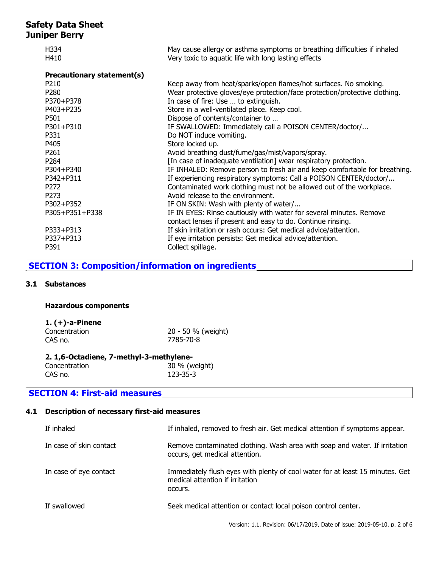| H334      | May cause allergy or asthma symptoms or breathing difficulties if inhaled                                                                                                                                              |
|-----------|------------------------------------------------------------------------------------------------------------------------------------------------------------------------------------------------------------------------|
| H410      | Very toxic to aquatic life with long lasting effects                                                                                                                                                                   |
|           |                                                                                                                                                                                                                        |
|           | Keep away from heat/sparks/open flames/hot surfaces. No smoking.                                                                                                                                                       |
|           | Wear protective gloves/eye protection/face protection/protective clothing.                                                                                                                                             |
|           | In case of fire: Use  to extinguish.                                                                                                                                                                                   |
|           |                                                                                                                                                                                                                        |
|           | Store in a well-ventilated place. Keep cool.                                                                                                                                                                           |
|           | Dispose of contents/container to                                                                                                                                                                                       |
|           | IF SWALLOWED: Immediately call a POISON CENTER/doctor/                                                                                                                                                                 |
| P331      | Do NOT induce vomiting.                                                                                                                                                                                                |
| P405      | Store locked up.                                                                                                                                                                                                       |
| P261      | Avoid breathing dust/fume/gas/mist/vapors/spray.                                                                                                                                                                       |
|           | [In case of inadequate ventilation] wear respiratory protection.                                                                                                                                                       |
|           | IF INHALED: Remove person to fresh air and keep comfortable for breathing.                                                                                                                                             |
|           | If experiencing respiratory symptoms: Call a POISON CENTER/doctor/                                                                                                                                                     |
|           | Contaminated work clothing must not be allowed out of the workplace.                                                                                                                                                   |
|           | Avoid release to the environment.                                                                                                                                                                                      |
|           | IF ON SKIN: Wash with plenty of water/                                                                                                                                                                                 |
|           |                                                                                                                                                                                                                        |
|           | IF IN EYES: Rinse cautiously with water for several minutes. Remove                                                                                                                                                    |
|           | contact lenses if present and easy to do. Continue rinsing.                                                                                                                                                            |
|           | If skin irritation or rash occurs: Get medical advice/attention.                                                                                                                                                       |
| P337+P313 | If eye irritation persists: Get medical advice/attention.                                                                                                                                                              |
| P391      | Collect spillage.                                                                                                                                                                                                      |
|           | <b>Precautionary statement(s)</b><br>P <sub>210</sub><br>P280<br>P370+P378<br>P403+P235<br>P501<br>P301+P310<br>P284<br>P304+P340<br>P342+P311<br>P <sub>272</sub><br>P273<br>P302+P352<br>P305+P351+P338<br>P333+P313 |

# **SECTION 3: Composition/information on ingredients**

## **3.1 Substances**

### **Hazardous components**

## **1. (+)-a-Pinene**

| Concentration | 20 - 50 % (weight) |
|---------------|--------------------|
| CAS no.       | 7785-70-8          |

### **2. 1,6-Octadiene, 7-methyl-3-methylene-**

Concentration 30 % (weight)<br>CAS no. 123-35-3  $123 - 35 - 3$ 

# **SECTION 4: First-aid measures**

## **4.1 Description of necessary first-aid measures**

| If inhaled              | If inhaled, removed to fresh air. Get medical attention if symptoms appear.                                                 |
|-------------------------|-----------------------------------------------------------------------------------------------------------------------------|
| In case of skin contact | Remove contaminated clothing. Wash area with soap and water. If irritation<br>occurs, get medical attention.                |
| In case of eye contact  | Immediately flush eyes with plenty of cool water for at least 15 minutes. Get<br>medical attention if irritation<br>occurs. |
| If swallowed            | Seek medical attention or contact local poison control center.                                                              |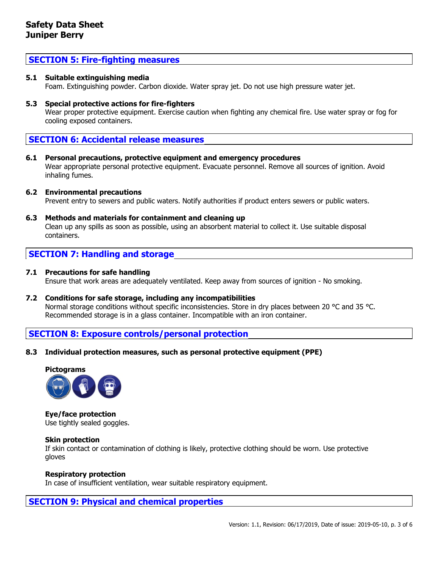## **SECTION 5: Fire-fighting measures**

### **5.1 Suitable extinguishing media**

Foam. Extinguishing powder. Carbon dioxide. Water spray jet. Do not use high pressure water jet.

**5.3 Special protective actions for fire-fighters**

Wear proper protective equipment. Exercise caution when fighting any chemical fire. Use water spray or fog for cooling exposed containers.

## **SECTION 6: Accidental release measures**

**6.1 Personal precautions, protective equipment and emergency procedures** Wear appropriate personal protective equipment. Evacuate personnel. Remove all sources of ignition. Avoid inhaling fumes.

#### **6.2 Environmental precautions**

Prevent entry to sewers and public waters. Notify authorities if product enters sewers or public waters.

**6.3 Methods and materials for containment and cleaning up**

Clean up any spills as soon as possible, using an absorbent material to collect it. Use suitable disposal containers.

## **SECTION 7: Handling and storage**

### **7.1 Precautions for safe handling**

Ensure that work areas are adequately ventilated. Keep away from sources of ignition - No smoking.

**7.2 Conditions for safe storage, including any incompatibilities** Normal storage conditions without specific inconsistencies. Store in dry places between 20 °C and 35 °C. Recommended storage is in a glass container. Incompatible with an iron container.

## **SECTION 8: Exposure controls/personal protection**

**8.3 Individual protection measures, such as personal protective equipment (PPE)**



**Eye/face protection** Use tightly sealed goggles.

#### **Skin protection**

If skin contact or contamination of clothing is likely, protective clothing should be worn. Use protective gloves

#### **Respiratory protection**

In case of insufficient ventilation, wear suitable respiratory equipment.

## **SECTION 9: Physical and chemical properties**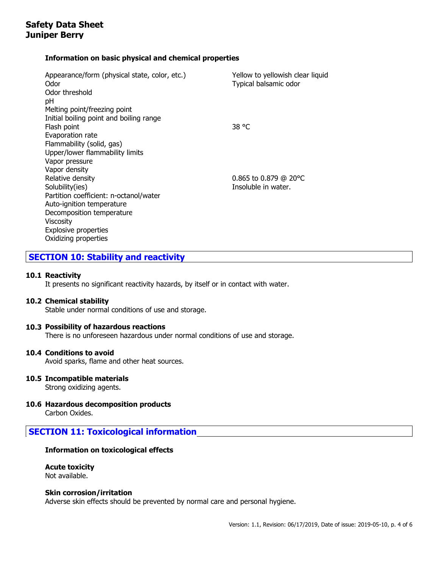## **Information on basic physical and chemical properties**

| Appearance/form (physical state, color, etc.)<br>Odor | Yellow to yellowish clear liquid<br>Typical balsamic odor |
|-------------------------------------------------------|-----------------------------------------------------------|
| Odor threshold                                        |                                                           |
| рH                                                    |                                                           |
| Melting point/freezing point                          |                                                           |
| Initial boiling point and boiling range               |                                                           |
| Flash point                                           | 38 °C                                                     |
| Evaporation rate                                      |                                                           |
| Flammability (solid, gas)                             |                                                           |
| Upper/lower flammability limits                       |                                                           |
| Vapor pressure                                        |                                                           |
| Vapor density                                         |                                                           |
| Relative density                                      | 0.865 to 0.879 @ 20 $^{\circ}$ C                          |
| Solubility(ies)                                       | Insoluble in water.                                       |
| Partition coefficient: n-octanol/water                |                                                           |
| Auto-ignition temperature                             |                                                           |
| Decomposition temperature                             |                                                           |
| Viscosity                                             |                                                           |
| Explosive properties                                  |                                                           |
| Oxidizing properties                                  |                                                           |

# **SECTION 10: Stability and reactivity**

## **10.1 Reactivity**

It presents no significant reactivity hazards, by itself or in contact with water.

#### **10.2 Chemical stability**

Stable under normal conditions of use and storage.

#### **10.3 Possibility of hazardous reactions**

There is no unforeseen hazardous under normal conditions of use and storage.

#### **10.4 Conditions to avoid**

Avoid sparks, flame and other heat sources.

# **10.5 Incompatible materials**

Strong oxidizing agents.

## **10.6 Hazardous decomposition products**

Carbon Oxides.

## **SECTION 11: Toxicological information**

#### **Information on toxicological effects**

# **Acute toxicity**

Not available.

#### **Skin corrosion/irritation**

Adverse skin effects should be prevented by normal care and personal hygiene.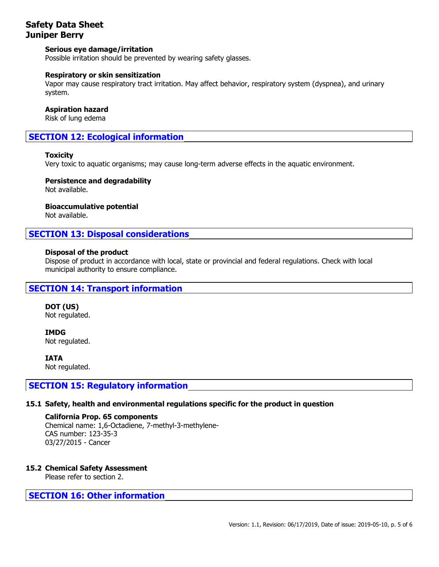### **Serious eye damage/irritation**

Possible irritation should be prevented by wearing safety glasses.

#### **Respiratory or skin sensitization**

Vapor may cause respiratory tract irritation. May affect behavior, respiratory system (dyspnea), and urinary system.

#### **Aspiration hazard**

Risk of lung edema

# **SECTION 12: Ecological information**

#### **Toxicity**

Very toxic to aquatic organisms; may cause long-term adverse effects in the aquatic environment.

### **Persistence and degradability**

Not available.

**Bioaccumulative potential**

Not available.

## **SECTION 13: Disposal considerations**

#### **Disposal of the product**

Dispose of product in accordance with local, state or provincial and federal regulations. Check with local municipal authority to ensure compliance.

## **SECTION 14: Transport information**

**DOT (US)** Not regulated.

**IMDG** Not regulated.

**IATA** Not regulated.

## **SECTION 15: Regulatory information**

#### **15.1 Safety, health and environmental regulations specific for the product in question**

#### **California Prop. 65 components** Chemical name: 1,6-Octadiene, 7-methyl-3-methylene-CAS number: 123-35-3 03/27/2015 - Cancer

#### **15.2 Chemical Safety Assessment**

Please refer to section 2.

## **SECTION 16: Other information**